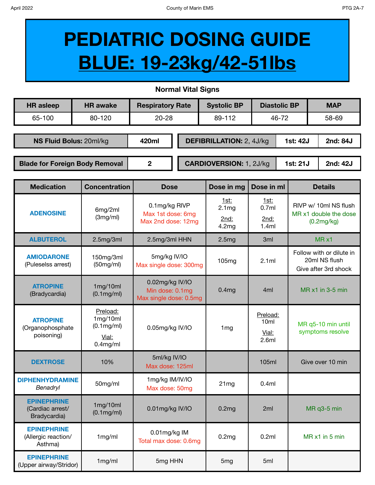**EPINEPHRINE**  (Allergic reaction/ Asthma)

**EPINEPHRINE**

## **PEDIATRIC DOSING GUIDE BLUE: 19-23kg/42-51lbs**

**Normal Vital Signs**

| Normal Vital Signs                                     |                                                                  |                                                              |  |                                       |                                                |          |                                                                   |  |  |  |  |
|--------------------------------------------------------|------------------------------------------------------------------|--------------------------------------------------------------|--|---------------------------------------|------------------------------------------------|----------|-------------------------------------------------------------------|--|--|--|--|
| <b>HR</b> asleep                                       | <b>HR</b> awake                                                  | <b>Respiratory Rate</b>                                      |  | <b>Systolic BP</b>                    | <b>Diastolic BP</b>                            |          | <b>MAP</b>                                                        |  |  |  |  |
| 65-100                                                 | 80-120                                                           | $20 - 28$                                                    |  | 89-112                                | 46-72                                          |          | 58-69                                                             |  |  |  |  |
|                                                        |                                                                  |                                                              |  |                                       |                                                |          |                                                                   |  |  |  |  |
| NS Fluid Bolus: 20ml/kg                                |                                                                  | 420ml                                                        |  | <b>DEFIBRILLATION: 2, 4J/kg</b>       |                                                | 1st: 42J | 2nd: 84J                                                          |  |  |  |  |
|                                                        |                                                                  |                                                              |  |                                       |                                                |          |                                                                   |  |  |  |  |
| <b>Blade for Foreign Body Removal</b>                  |                                                                  | $\overline{2}$<br><b>CARDIOVERSION: 1, 2J/kg</b>             |  |                                       |                                                | 1st: 21J | 2nd: 42J                                                          |  |  |  |  |
|                                                        |                                                                  |                                                              |  |                                       |                                                |          |                                                                   |  |  |  |  |
| <b>Medication</b>                                      | <b>Concentration</b>                                             | <b>Dose</b>                                                  |  | Dose in mg                            | Dose in ml                                     |          | <b>Details</b>                                                    |  |  |  |  |
| <b>ADENOSINE</b>                                       | 6mg/2ml<br>(3mg/ml)                                              | 0.1mg/kg RIVP<br>Max 1st dose: 6mg<br>Max 2nd dose: 12mg     |  | <u>1st:</u><br>2.1mg<br>2nd:<br>4.2mg | <u>1st:</u><br>0.7ml<br>2nd:<br>1.4ml          |          | RIVP w/ 10ml NS flush<br>MR x1 double the dose<br>(0.2mg/kg)      |  |  |  |  |
| <b>ALBUTEROL</b>                                       | 2.5mg/3ml                                                        | 2.5mg/3ml HHN                                                |  | 2.5mg                                 | 3ml                                            |          | $MR \times 1$                                                     |  |  |  |  |
| <b>AMIODARONE</b><br>(Puleselss arrest)                | 150mg/3ml<br>(50mg/ml)                                           | 5mg/kg IV/IO<br>Max single dose: 300mg                       |  | 105mg                                 | 2.1ml                                          |          | Follow with or dilute in<br>20ml NS flush<br>Give after 3rd shock |  |  |  |  |
| <b>ATROPINE</b><br>(Bradycardia)                       | 1mg/10ml<br>$(0.1 \text{mg/ml})$                                 | 0.02mg/kg IV/IO<br>Min dose: 0.1mg<br>Max single dose: 0.5mg |  | 0.4mg                                 | 4ml                                            |          | MR $x1$ in 3-5 min                                                |  |  |  |  |
| <b>ATROPINE</b><br>(Organophosphate<br>poisoning)      | Preload:<br>1mg/10ml<br>$(0.1$ mg/ml $)$<br>Vial:<br>$0.4$ mg/ml | 0.05mg/kg IV/IO                                              |  | 1 <sub>mg</sub>                       | Preload:<br>10 <sub>ml</sub><br>Vial:<br>2.6ml |          | MR q5-10 min until<br>symptoms resolve                            |  |  |  |  |
| <b>DEXTROSE</b>                                        | 10%                                                              | 5ml/kg IV/IO<br>Max dose: 125ml                              |  |                                       | 105ml                                          |          | Give over 10 min                                                  |  |  |  |  |
| <b>DIPHENHYDRAMINE</b><br><b>Benadryl</b>              | 50mg/ml                                                          | 1mg/kg IM/IV/IO<br>Max dose: 50mg                            |  | 21mg                                  | 0.4ml                                          |          |                                                                   |  |  |  |  |
| <b>EPINEPHRINE</b><br>(Cardiac arrest/<br>Bradycardia) | 1mg/10ml<br>$(0.1 \text{mg/ml})$                                 | 0.01mg/kg IV/IO                                              |  | 0.2mg                                 | 2ml                                            |          | MR q3-5 min                                                       |  |  |  |  |

Total max dose: 0.6mg 0.2mg 0.2mg 0.2ml MR x1 in 5 min

1mg/ml 0.01mg/kg IM

EPINCPHAINE<br>(Upper airway/Stridor) 1mg/ml 5mg HHN 5mg 5mg 5ml